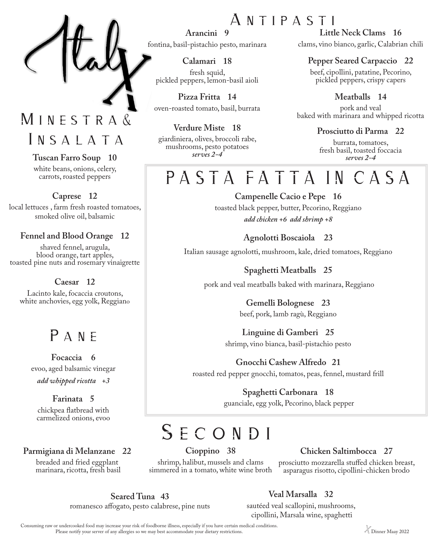### M INESTRA& INSALATA

### **Tuscan Farro Soup 10**

white beans, onions, celery, carrots, roasted peppers

### **Caprese 12**

local lettuces , farm fresh roasted tomatoes, smoked olive oil, balsamic

### **Fennel and Blood Orange 12**

shaved fennel, arugula, blood orange, tart apples, toasted pine nuts and rosemary vinaigrette

### **Caesar 12**

Lacinto kale, focaccia croutons, white anchovies, egg yolk, Reggiano

### PANE

**Focaccia 6** evoo, aged balsamic vinegar *add whipped ricotta +3*

### **Farinata 5**

chickpea flatbread with carmelized onions, evoo

### **Parmigiana di Melanzane 22**

breaded and fried eggplant marinara, ricotta, fresh basil

**Arancini 9** fontina, basil-pistachio pesto, marinara

**Calamari 18** fresh squid, pickled peppers, lemon-basil aioli

**Pizza Fritta 14** oven-roasted tomato, basil, burrata

**Verdure Miste 18** giardiniera, olives, broccoli rabe, mushrooms, pesto potatoes *serves 2-4* 

## A n t i p a s t i

**Little Neck Clams 16** clams, vino bianco, garlic, Calabrian chili

### **Pepper Seared Carpaccio 22**

beef, cipollini, patatine, Pecorino, pickled peppers, crispy capers

**Meatballs 14** pork and veal baked with marinara and whipped ricotta

### **Prosciutto di Parma 22**

burrata, tomatoes, fresh basil, toasted foccacia *serves 2-4* 

# PASTA FATTA IN CASA

**Campenelle Cacio e Pepe 16** toasted black pepper, butter, Pecorino, Reggiano *add chicken +6 add shrimp +8*

**Agnolotti Boscaiola 23**

Italian sausage agnolotti, mushroom, kale, dried tomatoes, Reggiano

**Spaghetti Meatballs 25** pork and veal meatballs baked with marinara, Reggiano

> **Gemelli Bolognese 23**  beef, pork, lamb ragù, Reggiano

### **Linguine di Gamberi 25** shrimp, vino bianca, basil-pistachio pesto

**Gnocchi Cashew Alfredo 21** roasted red pepper gnocchi, tomatos, peas, fennel, mustard frill

> **Spaghetti Carbonara 18** guanciale, egg yolk, Pecorino, black pepper

# SECONDI

**Cioppino 38**

shrimp, halibut, mussels and clams simmered in a tomato, white wine broth

### **Chicken Saltimbocca 27**

prosciutto mozzarella stuffed chicken breast, asparagus risotto, cipollini-chicken brodo

**Seared Tuna 43**

**Veal Marsalla 32**

romanesco affogato, pesto calabrese, pine nuts

sautéed veal scallopini, mushrooms, cipollini, Marsala wine, spaghetti

Consuming raw or undercooked food may increase your risk of foodborne illness, especially if you have certain medical conditions.<br>Please notify your server of any allergies so we may best accommodate your dietary restricti Please notify your server of any allergies so we may best accommodate your dietary restrictions.